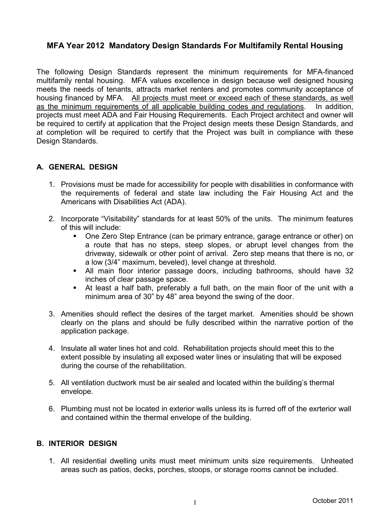# **MFA Year 2012 Mandatory Design Standards For Multifamily Rental Housing**

The following Design Standards represent the minimum requirements for MFA-financed multifamily rental housing. MFA values excellence in design because well designed housing meets the needs of tenants, attracts market renters and promotes community acceptance of housing financed by MFA. All projects must meet or exceed each of these standards, as well as the minimum requirements of all applicable building codes and regulations. In addition, projects must meet ADA and Fair Housing Requirements. Each Project architect and owner will be required to certify at application that the Project design meets these Design Standards, and at completion will be required to certify that the Project was built in compliance with these Design Standards.

## **A. GENERAL DESIGN**

- 1. Provisions must be made for accessibility for people with disabilities in conformance with the requirements of federal and state law including the Fair Housing Act and the Americans with Disabilities Act (ADA).
- 2. Incorporate "Visitability" standards for at least 50% of the units. The minimum features of this will include:
	- One Zero Step Entrance (can be primary entrance, garage entrance or other) on a route that has no steps, steep slopes, or abrupt level changes from the driveway, sidewalk or other point of arrival. Zero step means that there is no, or a low (3/4" maximum, beveled), level change at threshold.
	- All main floor interior passage doors, including bathrooms, should have 32 inches of clear passage space.
	- At least a half bath, preferably a full bath, on the main floor of the unit with a minimum area of 30" by 48" area beyond the swing of the door.
- 3. Amenities should reflect the desires of the target market. Amenities should be shown clearly on the plans and should be fully described within the narrative portion of the application package.
- 4. Insulate all water lines hot and cold. Rehabilitation projects should meet this to the extent possible by insulating all exposed water lines or insulating that will be exposed during the course of the rehabilitation.
- 5. All ventilation ductwork must be air sealed and located within the building's thermal envelope.
- 6. Plumbing must not be located in exterior walls unless its is furred off of the exrterior wall and contained within the thermal envelope of the building.

## **B. INTERIOR DESIGN**

1. All residential dwelling units must meet minimum units size requirements. Unheated areas such as patios, decks, porches, stoops, or storage rooms cannot be included.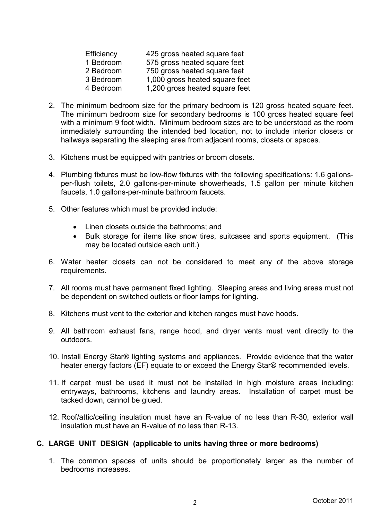| Efficiency | 425 gross heated square feet   |
|------------|--------------------------------|
| 1 Bedroom  | 575 gross heated square feet   |
| 2 Bedroom  | 750 gross heated square feet   |
| 3 Bedroom  | 1,000 gross heated square feet |
| 4 Bedroom  | 1,200 gross heated square feet |

- 2. The minimum bedroom size for the primary bedroom is 120 gross heated square feet. The minimum bedroom size for secondary bedrooms is 100 gross heated square feet with a minimum 9 foot width. Minimum bedroom sizes are to be understood as the room immediately surrounding the intended bed location, not to include interior closets or hallways separating the sleeping area from adjacent rooms, closets or spaces.
- 3. Kitchens must be equipped with pantries or broom closets.
- 4. Plumbing fixtures must be low-flow fixtures with the following specifications: 1.6 gallonsper-flush toilets, 2.0 gallons-per-minute showerheads, 1.5 gallon per minute kitchen faucets, 1.0 gallons-per-minute bathroom faucets.
- 5. Other features which must be provided include:
	- Linen closets outside the bathrooms; and
	- Bulk storage for items like snow tires, suitcases and sports equipment. (This may be located outside each unit.)
- 6. Water heater closets can not be considered to meet any of the above storage requirements.
- 7. All rooms must have permanent fixed lighting. Sleeping areas and living areas must not be dependent on switched outlets or floor lamps for lighting.
- 8. Kitchens must vent to the exterior and kitchen ranges must have hoods.
- 9. All bathroom exhaust fans, range hood, and dryer vents must vent directly to the outdoors.
- 10. Install Energy Star® lighting systems and appliances. Provide evidence that the water heater energy factors (EF) equate to or exceed the Energy Star® recommended levels.
- 11. If carpet must be used it must not be installed in high moisture areas including: entryways, bathrooms, kitchens and laundry areas. Installation of carpet must be tacked down, cannot be glued.
- 12. Roof/attic/ceiling insulation must have an R-value of no less than R-30, exterior wall insulation must have an R-value of no less than R-13.

#### **C. LARGE UNIT DESIGN (applicable to units having three or more bedrooms)**

1. The common spaces of units should be proportionately larger as the number of bedrooms increases.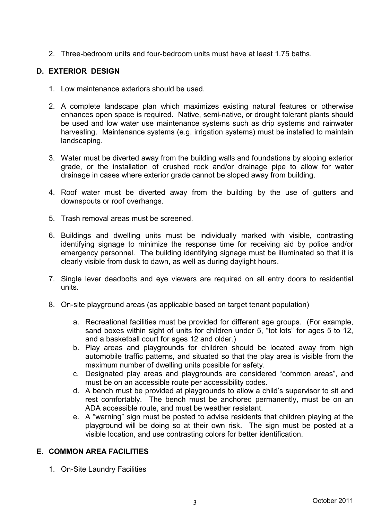2. Three-bedroom units and four-bedroom units must have at least 1.75 baths.

#### **D. EXTERIOR DESIGN**

- 1. Low maintenance exteriors should be used.
- 2. A complete landscape plan which maximizes existing natural features or otherwise enhances open space is required. Native, semi-native, or drought tolerant plants should be used and low water use maintenance systems such as drip systems and rainwater harvesting. Maintenance systems (e.g. irrigation systems) must be installed to maintain landscaping.
- 3. Water must be diverted away from the building walls and foundations by sloping exterior grade, or the installation of crushed rock and/or drainage pipe to allow for water drainage in cases where exterior grade cannot be sloped away from building.
- 4. Roof water must be diverted away from the building by the use of gutters and downspouts or roof overhangs.
- 5. Trash removal areas must be screened.
- 6. Buildings and dwelling units must be individually marked with visible, contrasting identifying signage to minimize the response time for receiving aid by police and/or emergency personnel. The building identifying signage must be illuminated so that it is clearly visible from dusk to dawn, as well as during daylight hours.
- 7. Single lever deadbolts and eye viewers are required on all entry doors to residential units.
- 8. On-site playground areas (as applicable based on target tenant population)
	- a. Recreational facilities must be provided for different age groups. (For example, sand boxes within sight of units for children under 5, "tot lots" for ages 5 to 12, and a basketball court for ages 12 and older.)
	- b. Play areas and playgrounds for children should be located away from high automobile traffic patterns, and situated so that the play area is visible from the maximum number of dwelling units possible for safety.
	- c. Designated play areas and playgrounds are considered "common areas", and must be on an accessible route per accessibility codes.
	- d. A bench must be provided at playgrounds to allow a child's supervisor to sit and rest comfortably. The bench must be anchored permanently, must be on an ADA accessible route, and must be weather resistant.
	- e. A "warning" sign must be posted to advise residents that children playing at the playground will be doing so at their own risk. The sign must be posted at a visible location, and use contrasting colors for better identification.

## **E. COMMON AREA FACILITIES**

1. On-Site Laundry Facilities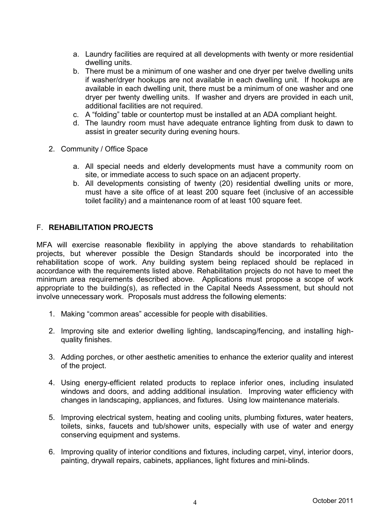- a. Laundry facilities are required at all developments with twenty or more residential dwelling units.
- b. There must be a minimum of one washer and one dryer per twelve dwelling units if washer/dryer hookups are not available in each dwelling unit. If hookups are available in each dwelling unit, there must be a minimum of one washer and one dryer per twenty dwelling units. If washer and dryers are provided in each unit, additional facilities are not required.
- c. A "folding" table or countertop must be installed at an ADA compliant height.
- d. The laundry room must have adequate entrance lighting from dusk to dawn to assist in greater security during evening hours.
- 2. Community / Office Space
	- a. All special needs and elderly developments must have a community room on site, or immediate access to such space on an adjacent property.
	- b. All developments consisting of twenty (20) residential dwelling units or more, must have a site office of at least 200 square feet (inclusive of an accessible toilet facility) and a maintenance room of at least 100 square feet.

#### F. **REHABILITATION PROJECTS**

MFA will exercise reasonable flexibility in applying the above standards to rehabilitation projects, but wherever possible the Design Standards should be incorporated into the rehabilitation scope of work. Any building system being replaced should be replaced in accordance with the requirements listed above. Rehabilitation projects do not have to meet the minimum area requirements described above. Applications must propose a scope of work appropriate to the building(s), as reflected in the Capital Needs Assessment, but should not involve unnecessary work. Proposals must address the following elements:

- 1. Making "common areas" accessible for people with disabilities.
- 2. Improving site and exterior dwelling lighting, landscaping/fencing, and installing highquality finishes.
- 3. Adding porches, or other aesthetic amenities to enhance the exterior quality and interest of the project.
- 4. Using energy-efficient related products to replace inferior ones, including insulated windows and doors, and adding additional insulation. Improving water efficiency with changes in landscaping, appliances, and fixtures. Using low maintenance materials.
- 5. Improving electrical system, heating and cooling units, plumbing fixtures, water heaters, toilets, sinks, faucets and tub/shower units, especially with use of water and energy conserving equipment and systems.
- 6. Improving quality of interior conditions and fixtures, including carpet, vinyl, interior doors, painting, drywall repairs, cabinets, appliances, light fixtures and mini-blinds.